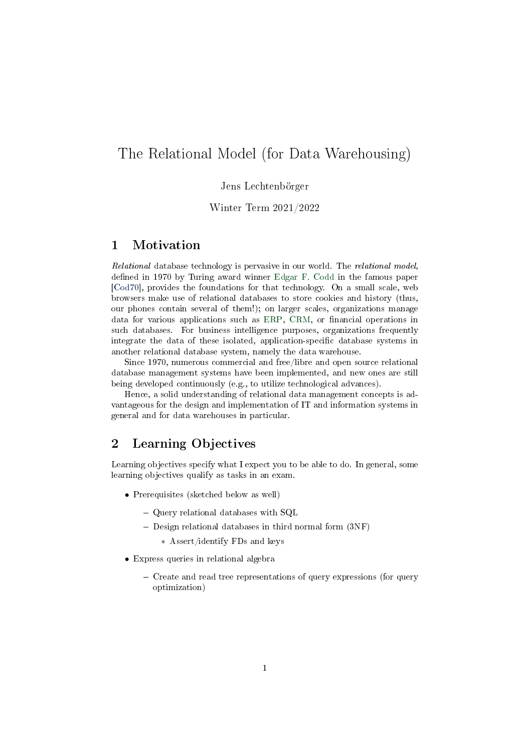# <span id="page-0-0"></span>The Relational Model (for Data Warehousing)

### Jens Lechtenbörger

Winter Term 2021/2022

## 1 Motivation

Relational database technology is pervasive in our world. The relational model, defined in 1970 by Turing award winner [Edgar F. Codd](https://en.wikipedia.org/wiki/Edgar_F._Codd) in the famous paper [\[Cod70\]](#page-5-0), provides the foundations for that technology. On a small scale, web browsers make use of relational databases to store cookies and history (thus, our phones contain several of them!); on larger scales, organizations manage data for various applications such as [ERP,](https://en.wikipedia.org/wiki/Enterprise_resource_planning) [CRM,](https://en.wikipedia.org/wiki/Customer_relationship_management) or financial operations in such databases. For business intelligence purposes, organizations frequently integrate the data of these isolated, application-specific database systems in another relational database system, namely the data warehouse.

Since 1970, numerous commercial and free/libre and open source relational database management systems have been implemented, and new ones are still being developed continuously (e.g., to utilize technological advances).

Hence, a solid understanding of relational data management concepts is advantageous for the design and implementation of IT and information systems in general and for data warehouses in particular.

## 2 Learning Objectives

Learning objectives specify what I expect you to be able to do. In general, some learning objectives qualify as tasks in an exam.

- Prerequisites (sketched below as well)
	- Query relational databases with SQL
	- $-$  Design relational databases in third normal form  $(3NF)$ 
		- ∗ Assert/identify FDs and keys
- Express queries in relational algebra
	- Create and read tree representations of query expressions (for query optimization)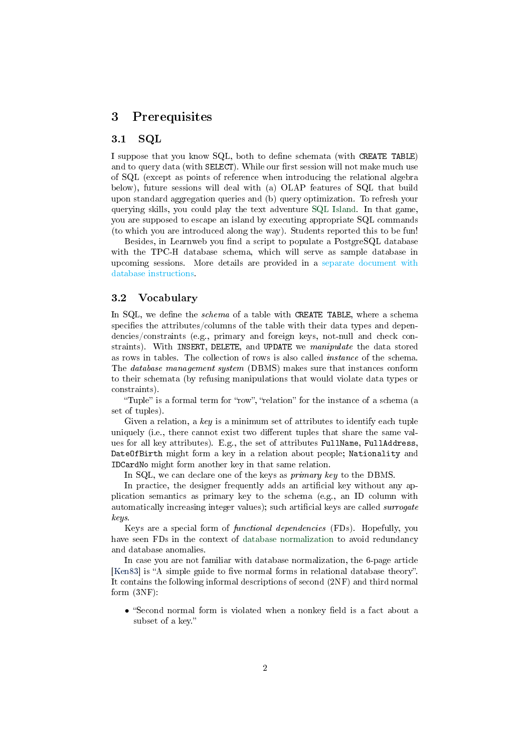### 3 Prerequisites

### 3.1 SQL

I suppose that you know SQL, both to dene schemata (with CREATE TABLE) and to query data (with SELECT). While our first session will not make much use of SQL (except as points of reference when introducing the relational algebra below), future sessions will deal with (a) OLAP features of SQL that build upon standard aggregation queries and (b) query optimization. To refresh your querying skills, you could play the text adventure [SQL Island.](https://sql-island.informatik.uni-kl.de/?lang=en) In that game, you are supposed to escape an island by executing appropriate SQL commands (to which you are introduced along the way). Students reported this to be fun!

Besides, in Learnweb you find a script to populate a PostgreSQL database with the TPC-H database schema, which will serve as sample database in upcoming sessions. More details are provided in a [separate document with](#page-0-0) [database instructions.](#page-0-0)

#### 3.2 Vocabulary

In SQL, we define the *schema* of a table with CREATE TABLE, where a schema specifies the attributes/columns of the table with their data types and dependencies/constraints (e.g., primary and foreign keys, not-null and check constraints). With INSERT, DELETE, and UPDATE we manipulate the data stored as rows in tables. The collection of rows is also called instance of the schema. The database management system (DBMS) makes sure that instances conform to their schemata (by refusing manipulations that would violate data types or constraints).

"Tuple" is a formal term for "row", "relation" for the instance of a schema (a set of tuples).

Given a relation, a key is a minimum set of attributes to identify each tuple uniquely (i.e., there cannot exist two different tuples that share the same values for all key attributes). E.g., the set of attributes FullName, FullAddress, DateOfBirth might form a key in a relation about people; Nationality and IDCardNo might form another key in that same relation.

In SQL, we can declare one of the keys as primary key to the DBMS.

In practice, the designer frequently adds an artificial key without any application semantics as primary key to the schema (e.g., an ID column with automatically increasing integer values); such artificial keys are called *surrogate* keys.

Keys are a special form of functional dependencies (FDs). Hopefully, you have seen FDs in the context of [database normalization](https://en.wikipedia.org/wiki/Database_normalization) to avoid redundancy and database anomalies.

In case you are not familiar with database normalization, the 6-page article [\[Ken83\]](#page-5-1) is "A simple guide to five normal forms in relational database theory". It contains the following informal descriptions of second (2NF) and third normal form (3NF):

• "Second normal form is violated when a nonkey field is a fact about a subset of a key."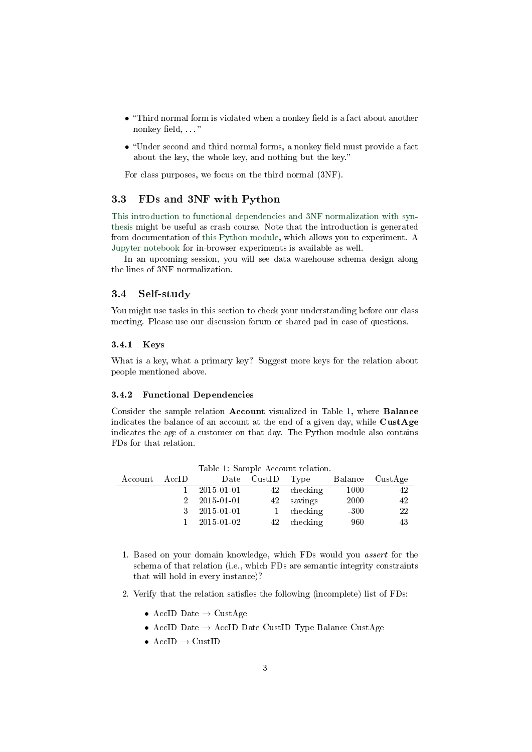- $\bullet$  "Third normal form is violated when a nonkey field is a fact about another nonkey field, ..."
- $\bullet$  "Under second and third normal forms, a nonkey field must provide a fact about the key, the whole key, and nothing but the key.

For class purposes, we focus on the third normal (3NF).

### 3.3 FDs and 3NF with Python

[This introduction to functional dependencies and 3NF normalization with syn](https://oer.gitlab.io/cs/functional-dependencies/functional_dependencies.html)[thesis](https://oer.gitlab.io/cs/functional-dependencies/functional_dependencies.html) might be useful as crash course. Note that the introduction is generated from documentation of [this Python module,](https://gitlab.com/oer/cs/functional-dependencies/-/blob/master/functional_dependencies/functional_dependencies.py) which allows you to experiment. A [Jupyter notebook](https://mybinder.org/v2/gl/oer%2Fcs%2Ffunctional-dependencies/HEAD?filepath=notebooks%2FCodd-3NF-ex.ipynb) for in-browser experiments is available as well.

In an upcoming session, you will see data warehouse schema design along the lines of 3NF normalization.

#### 3.4 Self-study

You might use tasks in this section to check your understanding before our class meeting. Please use our discussion forum or shared pad in case of questions.

#### 3.4.1 Keys

What is a key, what a primary key? Suggest more keys for the relation about people mentioned above.

#### 3.4.2 Functional Dependencies

Consider the sample relation Account visualized in Table [1,](#page-2-0) where Balance indicates the balance of an account at the end of a given day, while  $\text{CustAge}$ indicates the age of a customer on that day. The Python module also contains FDs for that relation.

| AccID |                  |             |                                                                     | Balance CustAge |
|-------|------------------|-------------|---------------------------------------------------------------------|-----------------|
|       | 2015-01-01       |             | 1000                                                                | 42              |
|       | 2015-01-01       |             | 2000                                                                | 42              |
| 3     | $2015 - 01 - 01$ |             | $-300$                                                              | -22             |
|       | 2015-01-02       |             | 960                                                                 | 43              |
|       |                  | Date CustID | - Type<br>checking<br>42<br>42 savings<br>1 checking<br>42 checking |                 |

<span id="page-2-0"></span>Table 1: Sample Account relation.

- 1. Based on your domain knowledge, which FDs would you assert for the schema of that relation (i.e., which FDs are semantic integrity constraints that will hold in every instance)?
- 2. Verify that the relation satisfies the following (incomplete) list of FDs:
	- AccID Date  $\rightarrow$  CustAge
	- AccID Date  $\rightarrow$  AccID Date CustID Type Balance CustAge
	- AccID  $\rightarrow$  CustID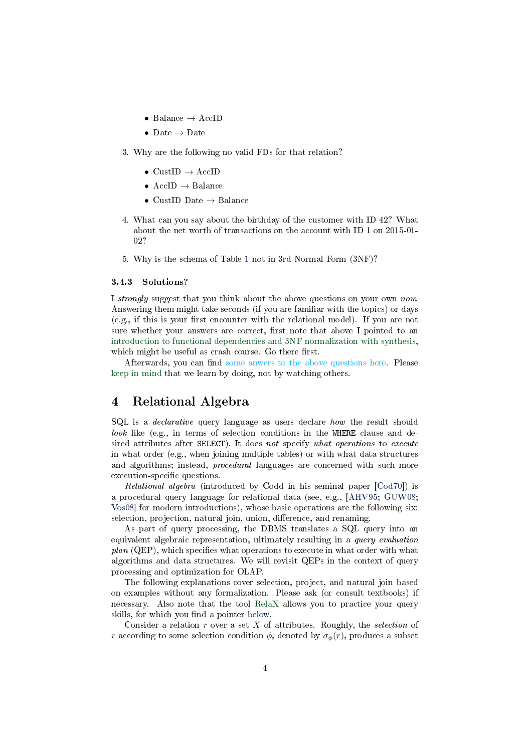- Balance  $\rightarrow$  AccID
- Date  $\rightarrow$  Date
- 3. Why are the following no valid FDs for that relation?
	- $CustID \rightarrow AccID$
	- AccID  $\rightarrow$  Balance
	- CustID Date  $\rightarrow$  Balance
- 4. What can you say about the birthday of the customer with ID 42? What about the net worth of transactions on the account with ID 1 on 2015-01- 02?
- 5. Why is the schema of Table [1](#page-2-0) not in 3rd Normal Form (3NF)?

#### 3.4.3 Solutions?

I strongly suggest that you think about the above questions on your own now. Answering them might take seconds (if you are familiar with the topics) or days  $(e.g., if this is your first encounter with the relational model). If you are not$ sure whether your answers are correct, first note that above I pointed to an [introduction to functional dependencies and 3NF normalization with synthesis,](https://oer.gitlab.io/cs/functional-dependencies/functional_dependencies.html) which might be useful as crash course. Go there first.

Afterwards, you can find [some anwers to the above questions here.](#page-0-0) Please [keep in mind](https://lechten.gitlab.io/teaching.html#slide-learning) that we learn by doing, not by watching others.

## 4 Relational Algebra

SQL is a *declarative* query language as users declare *how* the result should look like (e.g., in terms of selection conditions in the WHERE clause and desired attributes after SELECT). It does not specify what operations to execute in what order (e.g., when joining multiple tables) or with what data structures and algorithms; instead, procedural languages are concerned with such more execution-specific questions.

Relational algebra (introduced by Codd in his seminal paper [\[Cod70\]](#page-5-0)) is a procedural query language for relational data (see, e.g., [\[AHV95;](#page-5-2) [GUW08;](#page-5-3) [Vos08\]](#page-6-0) for modern introductions), whose basic operations are the following six: selection, projection, natural join, union, difference, and renaming.

As part of query processing, the DBMS translates a SQL query into an equivalent algebraic representation, ultimately resulting in a query evaluation  $plan (QEP)$ , which specifies what operations to execute in what order with what algorithms and data structures. We will revisit QEPs in the context of query processing and optimization for OLAP.

The following explanations cover selection, project, and natural join based on examples without any formalization. Please ask (or consult textbooks) if necessary. Also note that the tool [RelaX](https://dbis-uibk.github.io/relax/landing) allows you to practice your query skills, for which you find a pointer [below.](#page-5-4)

Consider a relation  $r$  over a set  $X$  of attributes. Roughly, the selection of r according to some selection condition  $\phi$ , denoted by  $\sigma_{\phi}(r)$ , produces a subset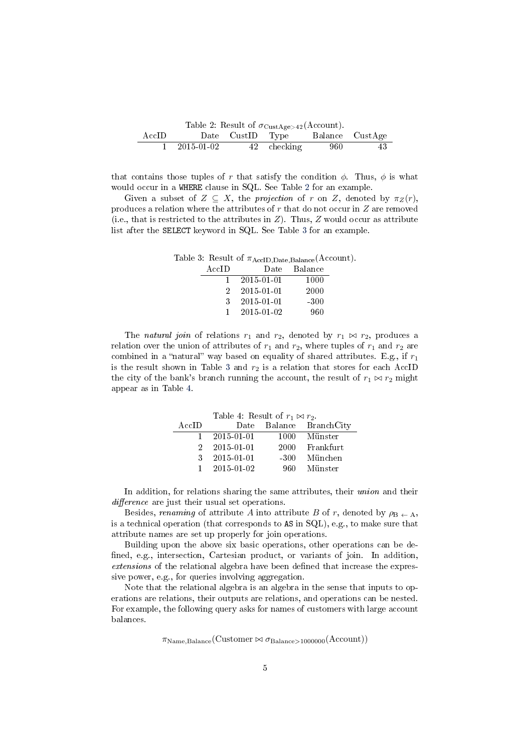<span id="page-4-0"></span>

| Table 2: Result of $\sigma_{\text{CustAge}>42}(\text{Account})$ . |            |  |                                  |        |    |  |  |
|-------------------------------------------------------------------|------------|--|----------------------------------|--------|----|--|--|
| $\rm AccID$                                                       |            |  | Date CustID Type Balance CustAge |        |    |  |  |
|                                                                   | 2015-01-02 |  | 42 checking                      | -960 - | 43 |  |  |

that contains those tuples of r that satisfy the condition  $\phi$ . Thus,  $\phi$  is what would occur in a WHERE clause in SQL. See Table [2](#page-4-0) for an example.

Given a subset of  $Z \subseteq X$ , the projection of r on Z, denoted by  $\pi_Z(r)$ , produces a relation where the attributes of r that do not occur in Z are removed (i.e., that is restricted to the attributes in  $Z$ ). Thus,  $Z$  would occur as attribute list after the SELECT keyword in SQL. See Table [3](#page-4-1) for an example.

<span id="page-4-1"></span>Table 3: Result of  $\pi_{\text{AccID},\text{Date},\text{Balance}}(\text{Account})$ . AccID Date Balance 1 2015-01-01 1000 2 2015-01-01 2000 3 2015-01-01 -300 1 2015-01-02 960

The *natural join* of relations  $r_1$  and  $r_2$ , denoted by  $r_1 \bowtie r_2$ , produces a relation over the union of attributes of  $r_1$  and  $r_2$ , where tuples of  $r_1$  and  $r_2$  are combined in a "natural" way based on equality of shared attributes. E.g., if  $r_1$ is the result shown in Table [3](#page-4-1) and  $r_2$  is a relation that stores for each AccID the city of the bank's branch running the account, the result of  $r_1 \bowtie r_2$  might appear as in Table [4.](#page-4-2)

<span id="page-4-2"></span>

| Table 4. Result of $r_1 \bowtie r_2$ . |                         |  |                         |  |  |  |  |
|----------------------------------------|-------------------------|--|-------------------------|--|--|--|--|
| AccID                                  |                         |  | Date Balance BranchCity |  |  |  |  |
| 1.                                     | 2015-01-01              |  | 1000 Münster            |  |  |  |  |
| 2.                                     | $2015 - 01 - 01$        |  | 2000 Frankfurt          |  |  |  |  |
| $\mathbf{R}$                           | 2015-01-01              |  | -300 München            |  |  |  |  |
|                                        | $1\quad 2015 - 01 - 02$ |  | 960 Münster             |  |  |  |  |

In addition, for relations sharing the same attributes, their union and their difference are just their usual set operations.

Besides, renaming of attribute A into attribute B of r, denoted by  $\rho_{\text{B}} \nightharpoonup A$ , is a technical operation (that corresponds to AS in SQL), e.g., to make sure that attribute names are set up properly for join operations.

Building upon the above six basic operations, other operations can be de fined, e.g., intersection, Cartesian product, or variants of join. In addition, extensions of the relational algebra have been defined that increase the expressive power, e.g., for queries involving aggregation.

Note that the relational algebra is an algebra in the sense that inputs to operations are relations, their outputs are relations, and operations can be nested. For example, the following query asks for names of customers with large account balances.

 $\pi_{\text{Name}, \text{Balance}}(\text{Customer} \bowtie \sigma_{\text{Balance}>1000000}(\text{Account}))$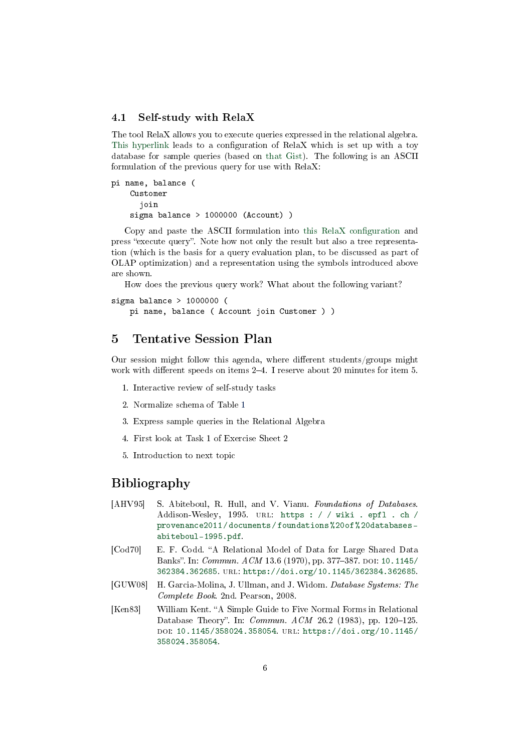#### <span id="page-5-4"></span>4.1 Self-study with RelaX

The tool RelaX allows you to execute queries expressed in the relational algebra. [This hyperlink](https://dbis-uibk.github.io/relax/calc/gist/02c807c63faf1d57d77f487d6a0726f4) leads to a configuration of  $RelaX$  which is set up with a toy database for sample queries (based on [that Gist\)](https://gist.github.com/lechten/02c807c63faf1d57d77f487d6a0726f4). The following is an ASCII formulation of the previous query for use with RelaX:

```
pi name, balance (
 Customer
   join
 sigma balance > 1000000 (Account) )
```
Copy and paste the ASCII formulation into this RelaX configuration and press "execute query". Note how not only the result but also a tree representation (which is the basis for a query evaluation plan, to be discussed as part of OLAP optimization) and a representation using the symbols introduced above are shown.

How does the previous query work? What about the following variant?

```
sigma balance > 1000000 (
pi name, balance ( Account join Customer ) )
```
## 5 Tentative Session Plan

Our session might follow this agenda, where different students/groups might work with different speeds on items  $2-4$ . I reserve about 20 minutes for item 5.

- 1. Interactive review of self-study tasks
- 2. Normalize schema of Table [1](#page-2-0)
- 3. Express sample queries in the Relational Algebra
- 4. First look at Task 1 of Exercise Sheet 2
- 5. Introduction to next topic

## Bibliography

- <span id="page-5-2"></span>[AHV95] S. Abiteboul, R. Hull, and V. Vianu. Foundations of Databases. Addison-Wesley, 1995. url: [https : / / wiki . epfl . ch /](https://wiki.epfl.ch/provenance2011/documents/foundations%20of%20databases-abiteboul-1995.pdf) [provenance2011 / documents / foundations % 20of % 20databases](https://wiki.epfl.ch/provenance2011/documents/foundations%20of%20databases-abiteboul-1995.pdf)  [abiteboul-1995.pdf.](https://wiki.epfl.ch/provenance2011/documents/foundations%20of%20databases-abiteboul-1995.pdf)
- <span id="page-5-0"></span>[Cod70] E. F. Codd. "A Relational Model of Data for Large Shared Data Banks". In: *Commun. ACM* 13.6 (1970), pp. 377-387. DOI: [10.1145/](https://doi.org/10.1145/362384.362685) [362384.362685.](https://doi.org/10.1145/362384.362685) url: [https://doi.org/10.1145/362384.362685.](https://doi.org/10.1145/362384.362685)
- <span id="page-5-3"></span>[GUW08] H. Garcia-Molina, J. Ullman, and J. Widom. Database Systems: The Complete Book. 2nd. Pearson, 2008.
- <span id="page-5-1"></span>[Ken83] William Kent. "A Simple Guide to Five Normal Forms in Relational Database Theory". In:  $Commun.$   $ACM$  26.2 (1983), pp. 120-125. doi: [10.1145/358024.358054.](https://doi.org/10.1145/358024.358054) url: [https://doi.org/10.1145/](https://doi.org/10.1145/358024.358054) [358024.358054.](https://doi.org/10.1145/358024.358054)